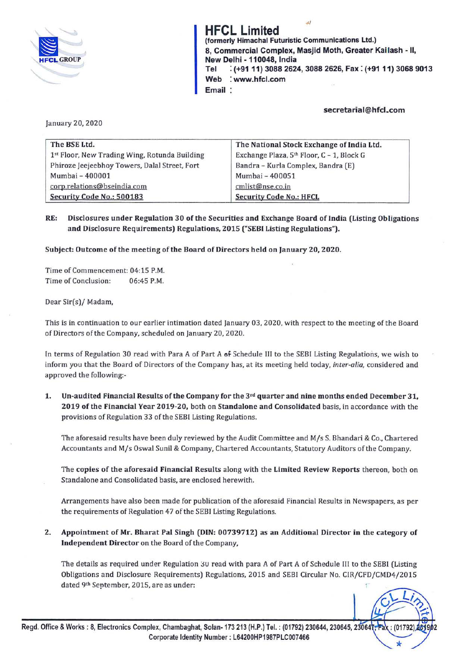

**HFCL Limited**  (formerly Himachal Futuristic Communications Ltd.) 8, Commercial Complex, Masjid Moth, Greater Kailash - II, New Delhi - **110048,** India **Tel** : **(+9111) 3088 2624, 3088 2626, Fax: (+9111) 3068 9013 Web** : **www.hfcl.com Email** 

## **secretarial@hfcl.com**

January 20, 2020

| The BSE Ltd.                                  | The National Stock Exchange of India Ltd. |  |
|-----------------------------------------------|-------------------------------------------|--|
| 1st Floor, New Trading Wing, Rotunda Building | Exchange Plaza, 5th Floor, C - 1, Block G |  |
| Phiroze Jeejeebhoy Towers, Dalal Street, Fort | Bandra - Kurla Complex, Bandra (E)        |  |
| Mumbai - 400001                               | Mumbai - 400051                           |  |
| corp.relations@bseindia.com                   | cmlist@nse.co.in                          |  |
| Security Code No.: 500183                     | <b>Security Code No.: HFCL</b>            |  |

**RE: Disclosures under Regulation 30 of the Securities and Exchange Board of India (Listing Obligations and Disclosure Requirements) Regulations, 2015 ("SEBI Listing Regulations").** 

**Subject: Outcome of the meeting of the Board of Directors held on January 20, 2020.** 

Time of Commencement: 04:15 P.M. Time of Conclusion: 06:45 P.M.

### Dear Sir(s)/ Madam,

This is in continuation to our earlier intimation dated January 03, 2020, with respect to the meeting of the Board of Directors of the Company, scheduled on January 20, 2020.

In terms of Regulation 30 read with Para A of Part A **of** Schedule lll to the SEBI Listing Regulations, we wish to inform you that the Board of Directors of the Company has, at its meeting held today, *inter-alia,* considered and approved the following:-

**1. Un-audited Financial Results of the Company for the 3rd quarter and nine months ended December 31, 2019 of the Financial Year 2019-20,** both on **Standalone and Consolidated** basis, in accordance with the provisions of Regulation 33 of the SEBI Listing Regulations.

The aforesaid results *have* been duly reviewed by the Audit Committee and M/s S. Bhandari & Co., Chartered Accountants and M/s Oswal Sunil & Company, Chartered Accountants, Statutory Auditors of the Company.

The **copies of the aforesaid Financial Results** along with the **Limited Review Reports** thereon, both on Standalone and Consolidated basis, are enclosed herewith.

Arrangements *have* also been made for publication of the aforesaid Financial Results in Newspapers, as per the requirements of Regulation 47 of the SEBI Listing Regulations.

**2. Appointment of Mr. Bharat Pal Singh (DIN: 00739712) as an Additional Director in the category of Independent Director** on the Board of the Company,

The details as required under Regulation 3U read with para A of Part A of Schedule III to the SEBI (Listing Obligations and Disclosure Requirements) Regulations, 2015 and SEBI Circular No. CJR/CFD/CMD4/2015 dated 9th September, 2015, are as under:

*L;*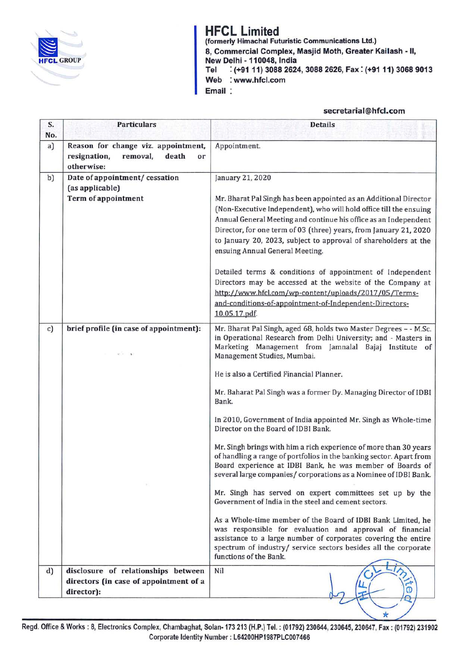

# **HFCL Limited**

(formerly Himachal Futuristic Communications Ltd.) 8, Commercial Complex, Masjid Moth, Greater Kailash - II, New Delhi - **110048,** India : (+91 11) 3088 2624, 3088 2626, Fax: (+91 11) 3068 9013 Web : www.hfcl.com Email:

## secretarial@hfcl.com

 $\star$ 

| S.<br>No. | <b>Particulars</b>                                                                           | <b>Details</b>                                                                                                                                                                                                                                                                                                                                                                                                                                                                                                                                                                                                                                                                                                                                                                                                                                                                                                                                                                                                                                                                                                                                             |  |
|-----------|----------------------------------------------------------------------------------------------|------------------------------------------------------------------------------------------------------------------------------------------------------------------------------------------------------------------------------------------------------------------------------------------------------------------------------------------------------------------------------------------------------------------------------------------------------------------------------------------------------------------------------------------------------------------------------------------------------------------------------------------------------------------------------------------------------------------------------------------------------------------------------------------------------------------------------------------------------------------------------------------------------------------------------------------------------------------------------------------------------------------------------------------------------------------------------------------------------------------------------------------------------------|--|
| a)        | Reason for change viz. appointment,<br>resignation,<br>removal,<br>death<br>or<br>otherwise: | Appointment.                                                                                                                                                                                                                                                                                                                                                                                                                                                                                                                                                                                                                                                                                                                                                                                                                                                                                                                                                                                                                                                                                                                                               |  |
| b)        | Date of appointment/ cessation<br>(as applicable)<br><b>Term of appointment</b>              | January 21, 2020<br>Mr. Bharat Pal Singh has been appointed as an Additional Director<br>(Non-Executive Independent), who will hold office till the ensuing<br>Annual General Meeting and continue his office as an Independent<br>Director, for one term of 03 (three) years, from January 21, 2020<br>to January 20, 2023, subject to approval of shareholders at the<br>ensuing Annual General Meeting.<br>Detailed terms & conditions of appointment of Independent<br>Directors may be accessed at the website of the Company at<br>http://www.hfcl.com/wp-content/uploads/2017/05/Terms-<br>and-conditions-of-appointment-of-Independent-Directors-<br>10.05.17.pdf.                                                                                                                                                                                                                                                                                                                                                                                                                                                                                 |  |
| c)        | brief profile (in case of appointment):<br>39 F. A.                                          | Mr. Bharat Pal Singh, aged 68, holds two Master Degrees - - M.Sc.<br>in Operational Research from Delhi University; and - Masters in<br>Marketing Management from Jamnalal Bajaj Institute of<br>Management Studies, Mumbai.<br>He is also a Certified Financial Planner.<br>Mr. Baharat Pal Singh was a former Dy. Managing Director of IDBI<br>Bank.<br>In 2010, Government of India appointed Mr. Singh as Whole-time<br>Director on the Board of IDBI Bank.<br>Mr. Singh brings with him a rich experience of more than 30 years<br>of handling a range of portfolios in the banking sector. Apart from<br>Board experience at IDBI Bank, he was member of Boards of<br>several large companies/ corporations as a Nominee of IDBI Bank.<br>Mr. Singh has served on expert committees set up by the<br>Government of India in the steel and cement sectors.<br>As a Whole-time member of the Board of IDBI Bank Limited, he<br>was responsible for evaluation and approval of financial<br>assistance to a large number of corporates covering the entire<br>spectrum of industry/ service sectors besides all the corporate<br>functions of the Bank. |  |
| d)        | disclosure of relationships between<br>directors (in case of appointment of a<br>director):  | Nil                                                                                                                                                                                                                                                                                                                                                                                                                                                                                                                                                                                                                                                                                                                                                                                                                                                                                                                                                                                                                                                                                                                                                        |  |